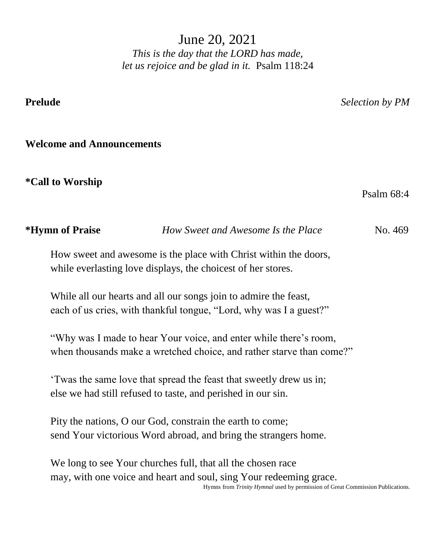June 20, 2021 *This is the day that the LORD has made, let us rejoice and be glad in it.* Psalm 118:24

**Prelude** *Selection by PM*

# **Welcome and Announcements**

**\*Call to Worship** 

Psalm 68:4

| <i><b>*Hymn of Praise</b></i> | How Sweet and Awesome Is the Place                                   | No. 469 |
|-------------------------------|----------------------------------------------------------------------|---------|
|                               | How sweet and awesome is the place with Christ within the doors,     |         |
|                               | while everlasting love displays, the choicest of her stores.         |         |
|                               | While all our hearts and all our songs join to admire the feast,     |         |
|                               | each of us cries, with thankful tongue, "Lord, why was I a guest?"   |         |
|                               | "Why was I made to hear Your voice, and enter while there's room,    |         |
|                               | when thousands make a wretched choice, and rather starve than come?" |         |
|                               | 'Twas the same love that spread the feast that sweetly drew us in;   |         |
|                               | else we had still refused to taste, and perished in our sin.         |         |
|                               | Pity the nations, O our God, constrain the earth to come;            |         |
|                               | send Your victorious Word abroad, and bring the strangers home.      |         |

We long to see Your churches full, that all the chosen race may, with one voice and heart and soul, sing Your redeeming grace. Hymns from *Trinity Hymnal* used by permission of Great Commission Publications.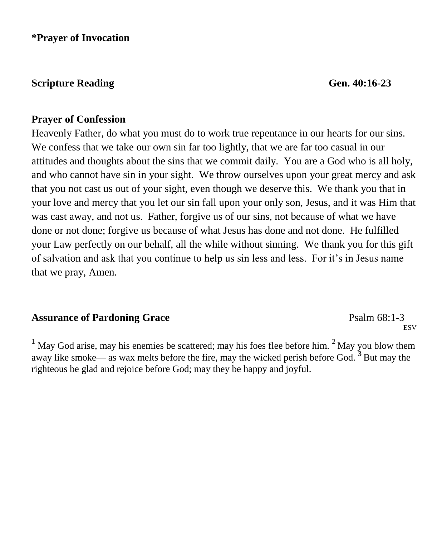**\*Prayer of Invocation** 

# **Scripture Reading Gen. 40:16-23**

## **Prayer of Confession**

Heavenly Father, do what you must do to work true repentance in our hearts for our sins. We confess that we take our own sin far too lightly, that we are far too casual in our attitudes and thoughts about the sins that we commit daily. You are a God who is all holy, and who cannot have sin in your sight. We throw ourselves upon your great mercy and ask that you not cast us out of your sight, even though we deserve this. We thank you that in your love and mercy that you let our sin fall upon your only son, Jesus, and it was Him that was cast away, and not us. Father, forgive us of our sins, not because of what we have done or not done; forgive us because of what Jesus has done and not done. He fulfilled your Law perfectly on our behalf, all the while without sinning. We thank you for this gift of salvation and ask that you continue to help us sin less and less. For it's in Jesus name that we pray, Amen.

## **Assurance of Pardoning Grace**  Psalm 68:1-3

**ESV** 

**<sup>1</sup>** May God arise, may his enemies be scattered; may his foes flee before him. **<sup>2</sup>** May you blow them away like smoke— as wax melts before the fire, may the wicked perish before God. **<sup>3</sup>** But may the righteous be glad and rejoice before God; may they be happy and joyful.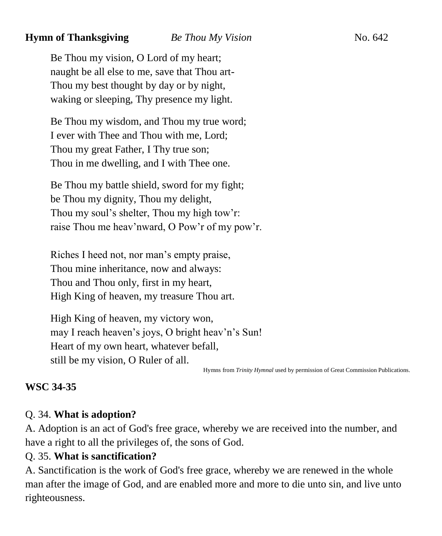# **Hymn of Thanksgiving** *Be Thou My Vision* **No. 642**

Be Thou my vision, O Lord of my heart; naught be all else to me, save that Thou art-Thou my best thought by day or by night, waking or sleeping, Thy presence my light.

Be Thou my wisdom, and Thou my true word; I ever with Thee and Thou with me, Lord; Thou my great Father, I Thy true son; Thou in me dwelling, and I with Thee one.

Be Thou my battle shield, sword for my fight; be Thou my dignity, Thou my delight, Thou my soul's shelter, Thou my high tow'r: raise Thou me heav'nward, O Pow'r of my pow'r.

Riches I heed not, nor man's empty praise, Thou mine inheritance, now and always: Thou and Thou only, first in my heart, High King of heaven, my treasure Thou art.

High King of heaven, my victory won, may I reach heaven's joys, O bright heav'n's Sun! Heart of my own heart, whatever befall, still be my vision, O Ruler of all.

Hymns from *Trinity Hymnal* used by permission of Great Commission Publications.

# **WSC 34-35**

# Q. 34. **What is adoption?**

A. Adoption is an act of God's free grace, whereby we are received into the number, and have a right to all the privileges of, the sons of God.

# Q. 35. **What is sanctification?**

A. Sanctification is the work of God's free grace, whereby we are renewed in the whole man after the image of God, and are enabled more and more to die unto sin, and live unto righteousness.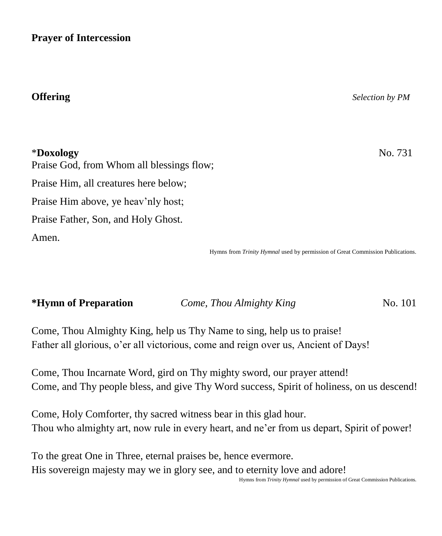**Prayer of Intercession**

# **Offering** *Selection by PM*

\***Doxology** No. 731

Praise God, from Whom all blessings flow; Praise Him, all creatures here below; Praise Him above, ye heav'nly host; Praise Father, Son, and Holy Ghost. Amen.

Hymns from *Trinity Hymnal* used by permission of Great Commission Publications.

| <i><b>*Hymn of Preparation</b></i> | Come, Thou Almighty King | No. 101 |
|------------------------------------|--------------------------|---------|
|                                    |                          |         |

Come, Thou Almighty King, help us Thy Name to sing, help us to praise! Father all glorious, o'er all victorious, come and reign over us, Ancient of Days!

Come, Thou Incarnate Word, gird on Thy mighty sword, our prayer attend! Come, and Thy people bless, and give Thy Word success, Spirit of holiness, on us descend!

Come, Holy Comforter, thy sacred witness bear in this glad hour. Thou who almighty art, now rule in every heart, and ne'er from us depart, Spirit of power!

To the great One in Three, eternal praises be, hence evermore. His sovereign majesty may we in glory see, and to eternity love and adore!

Hymns from *Trinity Hymnal* used by permission of Great Commission Publications.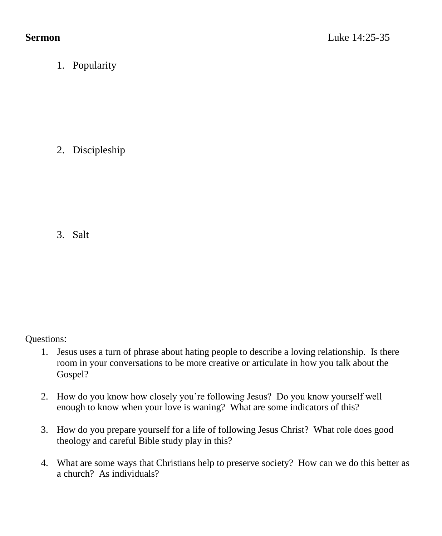1. Popularity

2. Discipleship

3. Salt

Questions:

- 1. Jesus uses a turn of phrase about hating people to describe a loving relationship. Is there room in your conversations to be more creative or articulate in how you talk about the Gospel?
- 2. How do you know how closely you're following Jesus? Do you know yourself well enough to know when your love is waning? What are some indicators of this?
- 3. How do you prepare yourself for a life of following Jesus Christ? What role does good theology and careful Bible study play in this?
- 4. What are some ways that Christians help to preserve society? How can we do this better as a church? As individuals?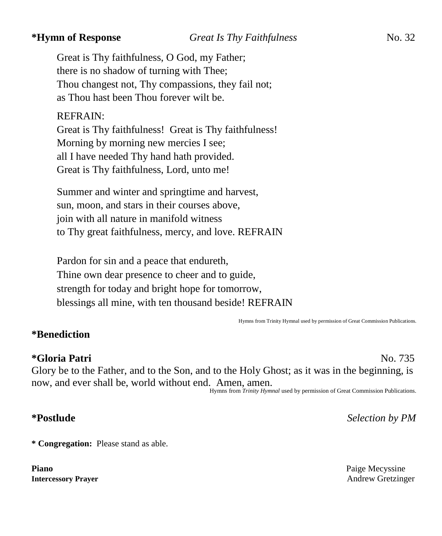Great is Thy faithfulness, O God, my Father; there is no shadow of turning with Thee; Thou changest not, Thy compassions, they fail not; as Thou hast been Thou forever wilt be.

# REFRAIN:

Great is Thy faithfulness! Great is Thy faithfulness! Morning by morning new mercies I see; all I have needed Thy hand hath provided. Great is Thy faithfulness, Lord, unto me!

Summer and winter and springtime and harvest, sun, moon, and stars in their courses above, join with all nature in manifold witness to Thy great faithfulness, mercy, and love. REFRAIN

Pardon for sin and a peace that endureth, Thine own dear presence to cheer and to guide, strength for today and bright hope for tomorrow, blessings all mine, with ten thousand beside! REFRAIN

Hymns from Trinity Hymnal used by permission of Great Commission Publications.

# **\*Benediction**

**\*Gloria Patri** No. 735 Glory be to the Father, and to the Son, and to the Holy Ghost; as it was in the beginning, is now, and ever shall be, world without end. Amen, amen.

Hymns from *Trinity Hymnal* used by permission of Great Commission Publications.

## **\*Postlude** *Selection by PM*

**\* Congregation:** Please stand as able.

**Piano** Paige Mecyssine

# **Intercessory Prayer** Andrew Gretzinger